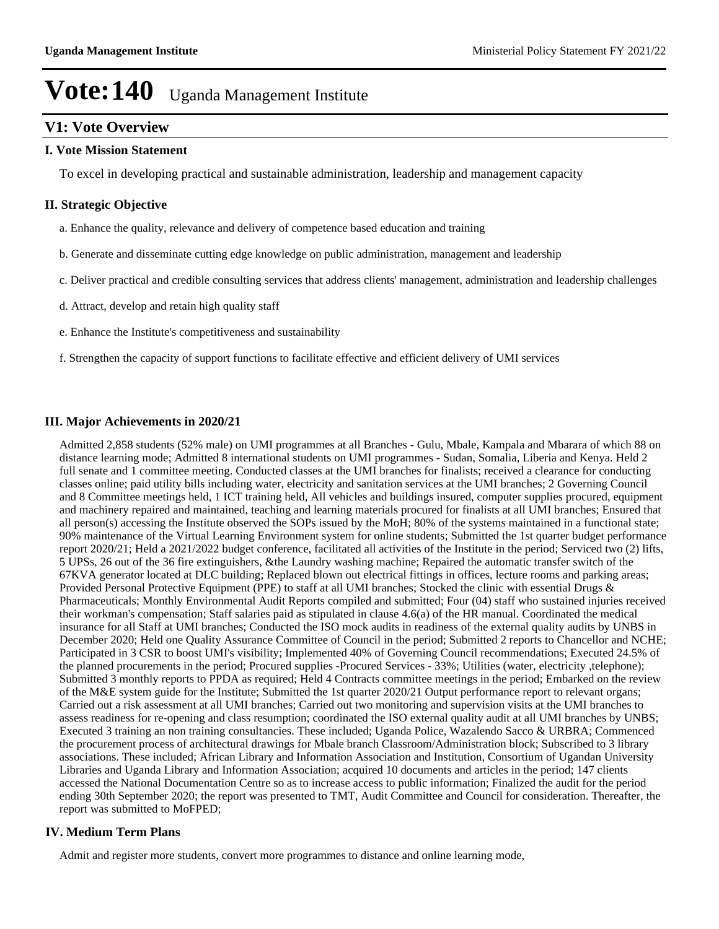## **V1: Vote Overview**

#### **I. Vote Mission Statement**

To excel in developing practical and sustainable administration, leadership and management capacity

#### **II. Strategic Objective**

- a. Enhance the quality, relevance and delivery of competence based education and training
- b. Generate and disseminate cutting edge knowledge on public administration, management and leadership
- c. Deliver practical and credible consulting services that address clients' management, administration and leadership challenges
- d. Attract, develop and retain high quality staff
- e. Enhance the Institute's competitiveness and sustainability
- f. Strengthen the capacity of support functions to facilitate effective and efficient delivery of UMI services

#### **III. Major Achievements in 2020/21**

Admitted 2,858 students (52% male) on UMI programmes at all Branches - Gulu, Mbale, Kampala and Mbarara of which 88 on distance learning mode; Admitted 8 international students on UMI programmes - Sudan, Somalia, Liberia and Kenya. Held 2 full senate and 1 committee meeting. Conducted classes at the UMI branches for finalists; received a clearance for conducting classes online; paid utility bills including water, electricity and sanitation services at the UMI branches; 2 Governing Council and 8 Committee meetings held, 1 ICT training held, All vehicles and buildings insured, computer supplies procured, equipment and machinery repaired and maintained, teaching and learning materials procured for finalists at all UMI branches; Ensured that all person(s) accessing the Institute observed the SOPs issued by the MoH; 80% of the systems maintained in a functional state; 90% maintenance of the Virtual Learning Environment system for online students; Submitted the 1st quarter budget performance report 2020/21; Held a 2021/2022 budget conference, facilitated all activities of the Institute in the period; Serviced two (2) lifts, 5 UPSs, 26 out of the 36 fire extinguishers, &the Laundry washing machine; Repaired the automatic transfer switch of the 67KVA generator located at DLC building; Replaced blown out electrical fittings in offices, lecture rooms and parking areas; Provided Personal Protective Equipment (PPE) to staff at all UMI branches; Stocked the clinic with essential Drugs & Pharmaceuticals; Monthly Environmental Audit Reports compiled and submitted; Four (04) staff who sustained injuries received their workman's compensation; Staff salaries paid as stipulated in clause 4.6(a) of the HR manual. Coordinated the medical insurance for all Staff at UMI branches; Conducted the ISO mock audits in readiness of the external quality audits by UNBS in December 2020; Held one Quality Assurance Committee of Council in the period; Submitted 2 reports to Chancellor and NCHE; Participated in 3 CSR to boost UMI's visibility; Implemented 40% of Governing Council recommendations; Executed 24.5% of the planned procurements in the period; Procured supplies -Procured Services - 33%; Utilities (water, electricity ,telephone); Submitted 3 monthly reports to PPDA as required; Held 4 Contracts committee meetings in the period; Embarked on the review of the M&E system guide for the Institute; Submitted the 1st quarter 2020/21 Output performance report to relevant organs; Carried out a risk assessment at all UMI branches; Carried out two monitoring and supervision visits at the UMI branches to assess readiness for re-opening and class resumption; coordinated the ISO external quality audit at all UMI branches by UNBS; Executed 3 training an non training consultancies. These included; Uganda Police, Wazalendo Sacco & URBRA; Commenced the procurement process of architectural drawings for Mbale branch Classroom/Administration block; Subscribed to 3 library associations. These included; African Library and Information Association and Institution, Consortium of Ugandan University Libraries and Uganda Library and Information Association; acquired 10 documents and articles in the period; 147 clients accessed the National Documentation Centre so as to increase access to public information; Finalized the audit for the period ending 30th September 2020; the report was presented to TMT, Audit Committee and Council for consideration. Thereafter, the report was submitted to MoFPED;

### **IV. Medium Term Plans**

Admit and register more students, convert more programmes to distance and online learning mode,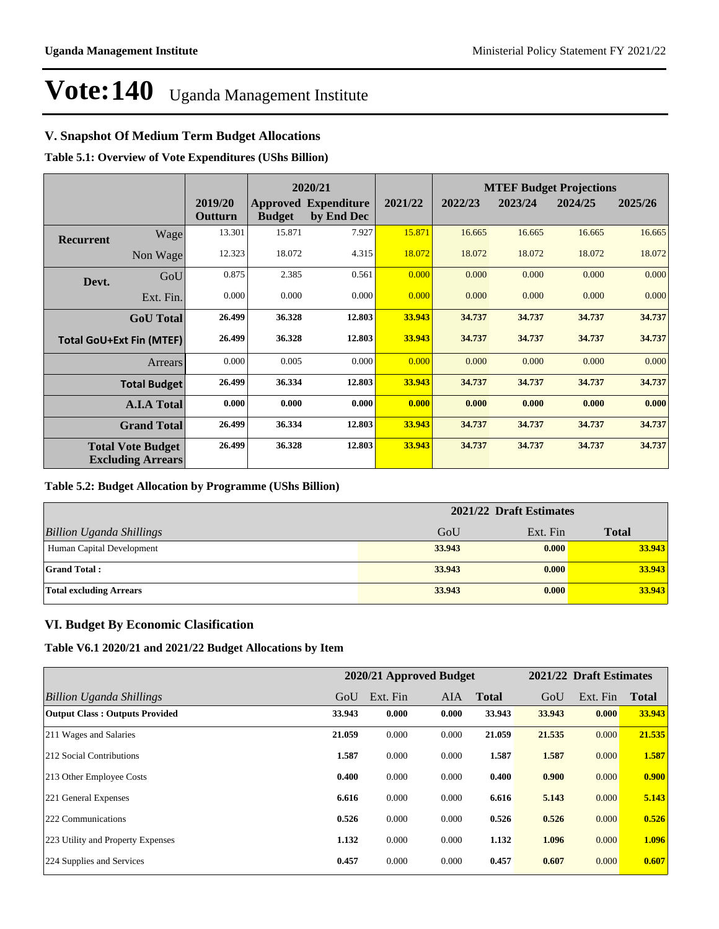### **V. Snapshot Of Medium Term Budget Allocations**

**Table 5.1: Overview of Vote Expenditures (UShs Billion)**

|                  |                                                      |                    |               | 2020/21                                   |         | <b>MTEF Budget Projections</b> |         |         |         |
|------------------|------------------------------------------------------|--------------------|---------------|-------------------------------------------|---------|--------------------------------|---------|---------|---------|
|                  |                                                      | 2019/20<br>Outturn | <b>Budget</b> | <b>Approved Expenditure</b><br>by End Dec | 2021/22 | 2022/23                        | 2023/24 | 2024/25 | 2025/26 |
| <b>Recurrent</b> | Wage                                                 | 13.301             | 15.871        | 7.927                                     | 15.871  | 16.665                         | 16.665  | 16.665  | 16.665  |
|                  | Non Wage                                             | 12.323             | 18.072        | 4.315                                     | 18.072  | 18.072                         | 18.072  | 18.072  | 18.072  |
| Devt.            | GoU                                                  | 0.875              | 2.385         | 0.561                                     | 0.000   | 0.000                          | 0.000   | 0.000   | 0.000   |
|                  | Ext. Fin.                                            | 0.000              | 0.000         | 0.000                                     | 0.000   | 0.000                          | 0.000   | 0.000   | 0.000   |
|                  | <b>GoU</b> Total                                     | 26.499             | 36.328        | 12.803                                    | 33.943  | 34.737                         | 34.737  | 34.737  | 34.737  |
|                  | <b>Total GoU+Ext Fin (MTEF)</b>                      | 26.499             | 36.328        | 12.803                                    | 33.943  | 34.737                         | 34.737  | 34.737  | 34.737  |
|                  | Arrears                                              | 0.000              | 0.005         | 0.000                                     | 0.000   | 0.000                          | 0.000   | 0.000   | 0.000   |
|                  | <b>Total Budget</b>                                  | 26.499             | 36.334        | 12.803                                    | 33.943  | 34.737                         | 34.737  | 34.737  | 34.737  |
|                  | <b>A.I.A Total</b>                                   | 0.000              | 0.000         | 0.000                                     | 0.000   | 0.000                          | 0.000   | 0.000   | 0.000   |
|                  | <b>Grand Total</b>                                   | 26.499             | 36.334        | 12.803                                    | 33.943  | 34.737                         | 34.737  | 34.737  | 34.737  |
|                  | <b>Total Vote Budget</b><br><b>Excluding Arrears</b> | 26.499             | 36.328        | 12.803                                    | 33.943  | 34.737                         | 34.737  | 34.737  | 34.737  |

### **Table 5.2: Budget Allocation by Programme (UShs Billion)**

|                                 | 2021/22 Draft Estimates |          |              |  |  |
|---------------------------------|-------------------------|----------|--------------|--|--|
| <b>Billion Uganda Shillings</b> | GoU                     | Ext. Fin | <b>Total</b> |  |  |
| Human Capital Development       | 33.943                  | 0.000    | 33.943       |  |  |
| <b>Grand Total:</b>             | 33.943                  | 0.000    | 33.943       |  |  |
| <b>Total excluding Arrears</b>  | 33.943                  | 0.000    | 33.943       |  |  |

### **VI. Budget By Economic Clasification**

**Table V6.1 2020/21 and 2021/22 Budget Allocations by Item**

|                                       |        | 2020/21 Approved Budget |            |              |        | 2021/22 Draft Estimates |              |
|---------------------------------------|--------|-------------------------|------------|--------------|--------|-------------------------|--------------|
| Billion Uganda Shillings              | GoU    | Ext. Fin                | <b>AIA</b> | <b>Total</b> | GoU    | Ext. Fin                | <b>Total</b> |
| <b>Output Class: Outputs Provided</b> | 33.943 | 0.000                   | 0.000      | 33.943       | 33.943 | 0.000                   | 33.943       |
| 211 Wages and Salaries                | 21.059 | 0.000                   | 0.000      | 21.059       | 21.535 | 0.000                   | 21.535       |
| 212 Social Contributions              | 1.587  | 0.000                   | 0.000      | 1.587        | 1.587  | 0.000                   | 1.587        |
| 213 Other Employee Costs              | 0.400  | 0.000                   | 0.000      | 0.400        | 0.900  | 0.000                   | 0.900        |
| 221 General Expenses                  | 6.616  | 0.000                   | 0.000      | 6.616        | 5.143  | 0.000                   | 5.143        |
| 222 Communications                    | 0.526  | 0.000                   | 0.000      | 0.526        | 0.526  | 0.000                   | 0.526        |
| 223 Utility and Property Expenses     | 1.132  | 0.000                   | 0.000      | 1.132        | 1.096  | 0.000                   | 1.096        |
| 224 Supplies and Services             | 0.457  | 0.000                   | 0.000      | 0.457        | 0.607  | 0.000                   | 0.607        |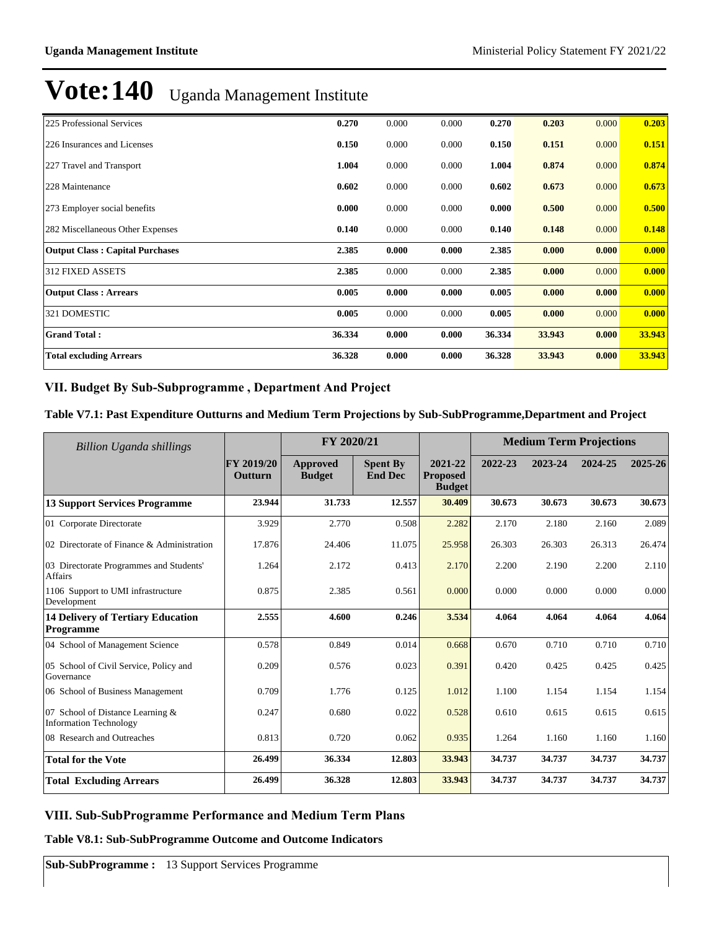| 225 Professional Services              | 0.270  | 0.000 | 0.000 | 0.270  | 0.203  | 0.000 | 0.203  |
|----------------------------------------|--------|-------|-------|--------|--------|-------|--------|
| 226 Insurances and Licenses            | 0.150  | 0.000 | 0.000 | 0.150  | 0.151  | 0.000 | 0.151  |
| 227 Travel and Transport               | 1.004  | 0.000 | 0.000 | 1.004  | 0.874  | 0.000 | 0.874  |
| 228 Maintenance                        | 0.602  | 0.000 | 0.000 | 0.602  | 0.673  | 0.000 | 0.673  |
| 273 Employer social benefits           | 0.000  | 0.000 | 0.000 | 0.000  | 0.500  | 0.000 | 0.500  |
| 282 Miscellaneous Other Expenses       | 0.140  | 0.000 | 0.000 | 0.140  | 0.148  | 0.000 | 0.148  |
| <b>Output Class: Capital Purchases</b> | 2.385  | 0.000 | 0.000 | 2.385  | 0.000  | 0.000 | 0.000  |
| 312 FIXED ASSETS                       | 2.385  | 0.000 | 0.000 | 2.385  | 0.000  | 0.000 | 0.000  |
| <b>Output Class: Arrears</b>           | 0.005  | 0.000 | 0.000 | 0.005  | 0.000  | 0.000 | 0.000  |
| 321 DOMESTIC                           | 0.005  | 0.000 | 0.000 | 0.005  | 0.000  | 0.000 | 0.000  |
| <b>Grand Total:</b>                    | 36.334 | 0.000 | 0.000 | 36.334 | 33.943 | 0.000 | 33.943 |
| <b>Total excluding Arrears</b>         | 36.328 | 0.000 | 0.000 | 36.328 | 33.943 | 0.000 | 33.943 |

### VII. Budget By Sub-Subprogramme, Department And Project

### **Table V7.1: Past Expenditure Outturns and Medium Term Projections by Sub-SubProgramme,Department and Project**

| <b>Billion Uganda shillings</b>                                   |                       | FY 2020/21                |                                   |                                             |         | <b>Medium Term Projections</b> |         |         |
|-------------------------------------------------------------------|-----------------------|---------------------------|-----------------------------------|---------------------------------------------|---------|--------------------------------|---------|---------|
|                                                                   | FY 2019/20<br>Outturn | Approved<br><b>Budget</b> | <b>Spent By</b><br><b>End Dec</b> | 2021-22<br><b>Proposed</b><br><b>Budget</b> | 2022-23 | 2023-24                        | 2024-25 | 2025-26 |
| <b>13 Support Services Programme</b>                              | 23.944                | 31.733                    | 12.557                            | 30.409                                      | 30.673  | 30.673                         | 30.673  | 30.673  |
| 01 Corporate Directorate                                          | 3.929                 | 2.770                     | 0.508                             | 2.282                                       | 2.170   | 2.180                          | 2.160   | 2.089   |
| 02 Directorate of Finance & Administration                        | 17.876                | 24.406                    | 11.075                            | 25.958                                      | 26.303  | 26.303                         | 26.313  | 26.474  |
| 03 Directorate Programmes and Students'<br>Affairs                | 1.264                 | 2.172                     | 0.413                             | 2.170                                       | 2.200   | 2.190                          | 2.200   | 2.110   |
| 1106 Support to UMI infrastructure<br>Development                 | 0.875                 | 2.385                     | 0.561                             | 0.000                                       | 0.000   | 0.000                          | 0.000   | 0.000   |
| <b>14 Delivery of Tertiary Education</b><br>Programme             | 2.555                 | 4.600                     | 0.246                             | 3.534                                       | 4.064   | 4.064                          | 4.064   | 4.064   |
| 04 School of Management Science                                   | 0.578                 | 0.849                     | 0.014                             | 0.668                                       | 0.670   | 0.710                          | 0.710   | 0.710   |
| 05 School of Civil Service, Policy and<br>Governance              | 0.209                 | 0.576                     | 0.023                             | 0.391                                       | 0.420   | 0.425                          | 0.425   | 0.425   |
| 06 School of Business Management                                  | 0.709                 | 1.776                     | 0.125                             | 1.012                                       | 1.100   | 1.154                          | 1.154   | 1.154   |
| 07 School of Distance Learning &<br><b>Information Technology</b> | 0.247                 | 0.680                     | 0.022                             | 0.528                                       | 0.610   | 0.615                          | 0.615   | 0.615   |
| 08 Research and Outreaches                                        | 0.813                 | 0.720                     | 0.062                             | 0.935                                       | 1.264   | 1.160                          | 1.160   | 1.160   |
| <b>Total for the Vote</b>                                         | 26.499                | 36.334                    | 12.803                            | 33.943                                      | 34.737  | 34.737                         | 34.737  | 34.737  |
| <b>Total Excluding Arrears</b>                                    | 26.499                | 36.328                    | 12.803                            | 33.943                                      | 34.737  | 34.737                         | 34.737  | 34.737  |

### **VIII. Sub-SubProgramme Performance and Medium Term Plans**

#### **Table V8.1: Sub-SubProgramme Outcome and Outcome Indicators**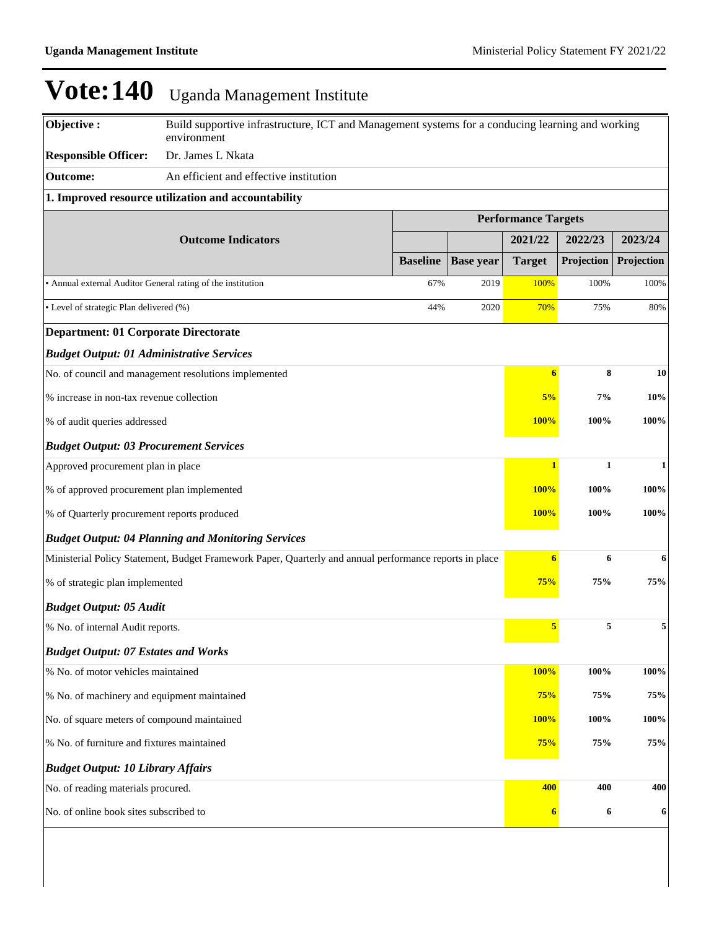| Objective:                                                         | Build supportive infrastructure, ICT and Management systems for a conducing learning and working<br>environment |                 |                  |                            |              |              |  |
|--------------------------------------------------------------------|-----------------------------------------------------------------------------------------------------------------|-----------------|------------------|----------------------------|--------------|--------------|--|
| <b>Responsible Officer:</b>                                        | Dr. James L Nkata                                                                                               |                 |                  |                            |              |              |  |
| <b>Outcome:</b>                                                    | An efficient and effective institution                                                                          |                 |                  |                            |              |              |  |
|                                                                    | 1. Improved resource utilization and accountability                                                             |                 |                  |                            |              |              |  |
|                                                                    |                                                                                                                 |                 |                  | <b>Performance Targets</b> |              |              |  |
|                                                                    | <b>Outcome Indicators</b>                                                                                       |                 |                  | 2021/22                    | 2022/23      | 2023/24      |  |
|                                                                    |                                                                                                                 | <b>Baseline</b> | <b>Base year</b> | <b>Target</b>              | Projection   | Projection   |  |
| • Annual external Auditor General rating of the institution        |                                                                                                                 | 67%             | 2019             | 100%                       | 100%         | 100%         |  |
| • Level of strategic Plan delivered (%)                            |                                                                                                                 | 44%             | 2020             | 70%                        | 75%          | 80%          |  |
| <b>Department: 01 Corporate Directorate</b>                        |                                                                                                                 |                 |                  |                            |              |              |  |
| <b>Budget Output: 01 Administrative Services</b>                   |                                                                                                                 |                 |                  |                            |              |              |  |
|                                                                    | No. of council and management resolutions implemented                                                           |                 |                  | $\boldsymbol{6}$           | 8            | 10           |  |
| % increase in non-tax revenue collection                           |                                                                                                                 |                 |                  | 5%                         | 7%           | 10%          |  |
| % of audit queries addressed                                       |                                                                                                                 |                 |                  | 100%                       | 100%         | 100%         |  |
| <b>Budget Output: 03 Procurement Services</b>                      |                                                                                                                 |                 |                  |                            |              |              |  |
| Approved procurement plan in place                                 |                                                                                                                 |                 |                  | $\mathbf{1}$               | $\mathbf{1}$ | $\mathbf{1}$ |  |
| % of approved procurement plan implemented                         |                                                                                                                 |                 |                  | 100%                       | 100%         | 100%         |  |
| % of Quarterly procurement reports produced                        |                                                                                                                 |                 |                  | 100%                       | 100%         | 100%         |  |
|                                                                    | <b>Budget Output: 04 Planning and Monitoring Services</b>                                                       |                 |                  |                            |              |              |  |
|                                                                    | Ministerial Policy Statement, Budget Framework Paper, Quarterly and annual performance reports in place         |                 |                  | $\boldsymbol{6}$           | 6            | 6            |  |
| % of strategic plan implemented                                    |                                                                                                                 |                 |                  | 75%                        | 75%          | 75%          |  |
| <b>Budget Output: 05 Audit</b>                                     |                                                                                                                 |                 |                  |                            |              |              |  |
| % No. of internal Audit reports.                                   |                                                                                                                 |                 |                  | 5                          | 5            | 5            |  |
| <b>Budget Output: 07 Estates and Works</b>                         |                                                                                                                 |                 |                  |                            |              |              |  |
| % No. of motor vehicles maintained                                 |                                                                                                                 |                 |                  | 100%                       | 100%         | 100%         |  |
| % No. of machinery and equipment maintained                        |                                                                                                                 |                 |                  | 75%                        | 75%          | 75%          |  |
| No. of square meters of compound maintained<br><b>100%</b><br>100% |                                                                                                                 |                 |                  |                            |              | 100%         |  |
| % No. of furniture and fixtures maintained                         |                                                                                                                 |                 |                  | 75%                        | 75%          | 75%          |  |
| <b>Budget Output: 10 Library Affairs</b>                           |                                                                                                                 |                 |                  |                            |              |              |  |
| No. of reading materials procured.                                 |                                                                                                                 |                 |                  | 400                        | 400          | 400          |  |
| No. of online book sites subscribed to                             |                                                                                                                 |                 |                  | $\boldsymbol{6}$           | 6            | 6            |  |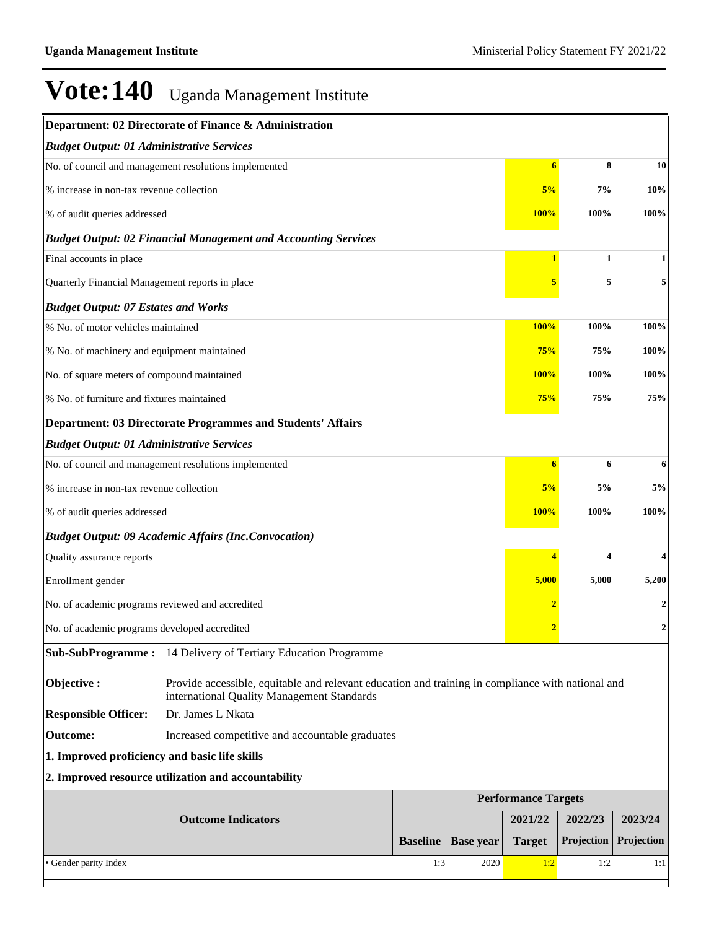| <b>Budget Output: 01 Administrative Services</b><br>8<br>No. of council and management resolutions implemented<br>$6\phantom{1}6$<br>7%<br>% increase in non-tax revenue collection<br>5%<br>% of audit queries addressed<br>100%<br><b>100%</b><br><b>Budget Output: 02 Financial Management and Accounting Services</b><br>Final accounts in place<br>$\mathbf{1}$<br>$\mathbf{1}$<br>5<br>Quarterly Financial Management reports in place<br>5<br><b>Budget Output: 07 Estates and Works</b><br>% No. of motor vehicles maintained<br><b>100%</b><br>100%<br>% No. of machinery and equipment maintained<br>75%<br>75%<br><b>100%</b><br>100%<br>No. of square meters of compound maintained<br>% No. of furniture and fixtures maintained<br>75%<br>75%<br><b>Department: 03 Directorate Programmes and Students' Affairs</b><br><b>Budget Output: 01 Administrative Services</b><br>No. of council and management resolutions implemented<br>6<br>$\boldsymbol{6}$<br>% increase in non-tax revenue collection<br>5%<br>5%<br><b>100%</b><br>100%<br>% of audit queries addressed<br><b>Budget Output: 09 Academic Affairs (Inc.Convocation)</b><br>$\overline{4}$<br>$\overline{\mathbf{4}}$<br>Quality assurance reports<br>5,000<br>5,000<br>Enrollment gender<br>No. of academic programs reviewed and accredited<br>$\overline{2}$<br>No. of academic programs developed accredited<br>Sub-SubProgramme: 14 Delivery of Tertiary Education Programme<br>Objective:<br>Provide accessible, equitable and relevant education and training in compliance with national and<br>international Quality Management Standards<br>Dr. James L Nkata<br><b>Responsible Officer:</b><br><b>Outcome:</b><br>Increased competitive and accountable graduates<br>1. Improved proficiency and basic life skills<br>2. Improved resource utilization and accountability<br><b>Performance Targets</b><br><b>Outcome Indicators</b><br>2021/22<br>2022/23<br>Projection<br><b>Baseline</b><br><b>Base year</b><br><b>Target</b><br>· Gender parity Index<br>1:3<br>2020<br>1:2<br>1:2 |  | Department: 02 Directorate of Finance & Administration |     |  |  |                  |
|--------------------------------------------------------------------------------------------------------------------------------------------------------------------------------------------------------------------------------------------------------------------------------------------------------------------------------------------------------------------------------------------------------------------------------------------------------------------------------------------------------------------------------------------------------------------------------------------------------------------------------------------------------------------------------------------------------------------------------------------------------------------------------------------------------------------------------------------------------------------------------------------------------------------------------------------------------------------------------------------------------------------------------------------------------------------------------------------------------------------------------------------------------------------------------------------------------------------------------------------------------------------------------------------------------------------------------------------------------------------------------------------------------------------------------------------------------------------------------------------------------------------------------------------------------------------------------------------------------------------------------------------------------------------------------------------------------------------------------------------------------------------------------------------------------------------------------------------------------------------------------------------------------------------------------------------------------------------------------------------------------------------------------------------------------------------------------|--|--------------------------------------------------------|-----|--|--|------------------|
|                                                                                                                                                                                                                                                                                                                                                                                                                                                                                                                                                                                                                                                                                                                                                                                                                                                                                                                                                                                                                                                                                                                                                                                                                                                                                                                                                                                                                                                                                                                                                                                                                                                                                                                                                                                                                                                                                                                                                                                                                                                                                |  |                                                        |     |  |  |                  |
|                                                                                                                                                                                                                                                                                                                                                                                                                                                                                                                                                                                                                                                                                                                                                                                                                                                                                                                                                                                                                                                                                                                                                                                                                                                                                                                                                                                                                                                                                                                                                                                                                                                                                                                                                                                                                                                                                                                                                                                                                                                                                |  |                                                        |     |  |  | 10               |
|                                                                                                                                                                                                                                                                                                                                                                                                                                                                                                                                                                                                                                                                                                                                                                                                                                                                                                                                                                                                                                                                                                                                                                                                                                                                                                                                                                                                                                                                                                                                                                                                                                                                                                                                                                                                                                                                                                                                                                                                                                                                                |  |                                                        | 10% |  |  |                  |
|                                                                                                                                                                                                                                                                                                                                                                                                                                                                                                                                                                                                                                                                                                                                                                                                                                                                                                                                                                                                                                                                                                                                                                                                                                                                                                                                                                                                                                                                                                                                                                                                                                                                                                                                                                                                                                                                                                                                                                                                                                                                                |  |                                                        |     |  |  | 100%             |
|                                                                                                                                                                                                                                                                                                                                                                                                                                                                                                                                                                                                                                                                                                                                                                                                                                                                                                                                                                                                                                                                                                                                                                                                                                                                                                                                                                                                                                                                                                                                                                                                                                                                                                                                                                                                                                                                                                                                                                                                                                                                                |  |                                                        |     |  |  |                  |
|                                                                                                                                                                                                                                                                                                                                                                                                                                                                                                                                                                                                                                                                                                                                                                                                                                                                                                                                                                                                                                                                                                                                                                                                                                                                                                                                                                                                                                                                                                                                                                                                                                                                                                                                                                                                                                                                                                                                                                                                                                                                                |  |                                                        |     |  |  | 1                |
|                                                                                                                                                                                                                                                                                                                                                                                                                                                                                                                                                                                                                                                                                                                                                                                                                                                                                                                                                                                                                                                                                                                                                                                                                                                                                                                                                                                                                                                                                                                                                                                                                                                                                                                                                                                                                                                                                                                                                                                                                                                                                |  |                                                        |     |  |  | 5                |
|                                                                                                                                                                                                                                                                                                                                                                                                                                                                                                                                                                                                                                                                                                                                                                                                                                                                                                                                                                                                                                                                                                                                                                                                                                                                                                                                                                                                                                                                                                                                                                                                                                                                                                                                                                                                                                                                                                                                                                                                                                                                                |  |                                                        |     |  |  |                  |
|                                                                                                                                                                                                                                                                                                                                                                                                                                                                                                                                                                                                                                                                                                                                                                                                                                                                                                                                                                                                                                                                                                                                                                                                                                                                                                                                                                                                                                                                                                                                                                                                                                                                                                                                                                                                                                                                                                                                                                                                                                                                                |  |                                                        |     |  |  | 100%             |
|                                                                                                                                                                                                                                                                                                                                                                                                                                                                                                                                                                                                                                                                                                                                                                                                                                                                                                                                                                                                                                                                                                                                                                                                                                                                                                                                                                                                                                                                                                                                                                                                                                                                                                                                                                                                                                                                                                                                                                                                                                                                                |  |                                                        |     |  |  | 100%             |
|                                                                                                                                                                                                                                                                                                                                                                                                                                                                                                                                                                                                                                                                                                                                                                                                                                                                                                                                                                                                                                                                                                                                                                                                                                                                                                                                                                                                                                                                                                                                                                                                                                                                                                                                                                                                                                                                                                                                                                                                                                                                                |  |                                                        |     |  |  | 100%             |
|                                                                                                                                                                                                                                                                                                                                                                                                                                                                                                                                                                                                                                                                                                                                                                                                                                                                                                                                                                                                                                                                                                                                                                                                                                                                                                                                                                                                                                                                                                                                                                                                                                                                                                                                                                                                                                                                                                                                                                                                                                                                                |  |                                                        |     |  |  | 75%              |
|                                                                                                                                                                                                                                                                                                                                                                                                                                                                                                                                                                                                                                                                                                                                                                                                                                                                                                                                                                                                                                                                                                                                                                                                                                                                                                                                                                                                                                                                                                                                                                                                                                                                                                                                                                                                                                                                                                                                                                                                                                                                                |  |                                                        |     |  |  |                  |
|                                                                                                                                                                                                                                                                                                                                                                                                                                                                                                                                                                                                                                                                                                                                                                                                                                                                                                                                                                                                                                                                                                                                                                                                                                                                                                                                                                                                                                                                                                                                                                                                                                                                                                                                                                                                                                                                                                                                                                                                                                                                                |  |                                                        |     |  |  |                  |
|                                                                                                                                                                                                                                                                                                                                                                                                                                                                                                                                                                                                                                                                                                                                                                                                                                                                                                                                                                                                                                                                                                                                                                                                                                                                                                                                                                                                                                                                                                                                                                                                                                                                                                                                                                                                                                                                                                                                                                                                                                                                                |  |                                                        |     |  |  | 6                |
|                                                                                                                                                                                                                                                                                                                                                                                                                                                                                                                                                                                                                                                                                                                                                                                                                                                                                                                                                                                                                                                                                                                                                                                                                                                                                                                                                                                                                                                                                                                                                                                                                                                                                                                                                                                                                                                                                                                                                                                                                                                                                |  |                                                        |     |  |  | 5%               |
|                                                                                                                                                                                                                                                                                                                                                                                                                                                                                                                                                                                                                                                                                                                                                                                                                                                                                                                                                                                                                                                                                                                                                                                                                                                                                                                                                                                                                                                                                                                                                                                                                                                                                                                                                                                                                                                                                                                                                                                                                                                                                |  |                                                        |     |  |  | 100%             |
|                                                                                                                                                                                                                                                                                                                                                                                                                                                                                                                                                                                                                                                                                                                                                                                                                                                                                                                                                                                                                                                                                                                                                                                                                                                                                                                                                                                                                                                                                                                                                                                                                                                                                                                                                                                                                                                                                                                                                                                                                                                                                |  |                                                        |     |  |  |                  |
|                                                                                                                                                                                                                                                                                                                                                                                                                                                                                                                                                                                                                                                                                                                                                                                                                                                                                                                                                                                                                                                                                                                                                                                                                                                                                                                                                                                                                                                                                                                                                                                                                                                                                                                                                                                                                                                                                                                                                                                                                                                                                |  |                                                        |     |  |  | 4                |
|                                                                                                                                                                                                                                                                                                                                                                                                                                                                                                                                                                                                                                                                                                                                                                                                                                                                                                                                                                                                                                                                                                                                                                                                                                                                                                                                                                                                                                                                                                                                                                                                                                                                                                                                                                                                                                                                                                                                                                                                                                                                                |  |                                                        |     |  |  | 5,200            |
|                                                                                                                                                                                                                                                                                                                                                                                                                                                                                                                                                                                                                                                                                                                                                                                                                                                                                                                                                                                                                                                                                                                                                                                                                                                                                                                                                                                                                                                                                                                                                                                                                                                                                                                                                                                                                                                                                                                                                                                                                                                                                |  |                                                        |     |  |  | 2                |
|                                                                                                                                                                                                                                                                                                                                                                                                                                                                                                                                                                                                                                                                                                                                                                                                                                                                                                                                                                                                                                                                                                                                                                                                                                                                                                                                                                                                                                                                                                                                                                                                                                                                                                                                                                                                                                                                                                                                                                                                                                                                                |  |                                                        |     |  |  | $\boldsymbol{2}$ |
|                                                                                                                                                                                                                                                                                                                                                                                                                                                                                                                                                                                                                                                                                                                                                                                                                                                                                                                                                                                                                                                                                                                                                                                                                                                                                                                                                                                                                                                                                                                                                                                                                                                                                                                                                                                                                                                                                                                                                                                                                                                                                |  |                                                        |     |  |  |                  |
|                                                                                                                                                                                                                                                                                                                                                                                                                                                                                                                                                                                                                                                                                                                                                                                                                                                                                                                                                                                                                                                                                                                                                                                                                                                                                                                                                                                                                                                                                                                                                                                                                                                                                                                                                                                                                                                                                                                                                                                                                                                                                |  |                                                        |     |  |  |                  |
|                                                                                                                                                                                                                                                                                                                                                                                                                                                                                                                                                                                                                                                                                                                                                                                                                                                                                                                                                                                                                                                                                                                                                                                                                                                                                                                                                                                                                                                                                                                                                                                                                                                                                                                                                                                                                                                                                                                                                                                                                                                                                |  |                                                        |     |  |  |                  |
|                                                                                                                                                                                                                                                                                                                                                                                                                                                                                                                                                                                                                                                                                                                                                                                                                                                                                                                                                                                                                                                                                                                                                                                                                                                                                                                                                                                                                                                                                                                                                                                                                                                                                                                                                                                                                                                                                                                                                                                                                                                                                |  |                                                        |     |  |  |                  |
|                                                                                                                                                                                                                                                                                                                                                                                                                                                                                                                                                                                                                                                                                                                                                                                                                                                                                                                                                                                                                                                                                                                                                                                                                                                                                                                                                                                                                                                                                                                                                                                                                                                                                                                                                                                                                                                                                                                                                                                                                                                                                |  |                                                        |     |  |  |                  |
|                                                                                                                                                                                                                                                                                                                                                                                                                                                                                                                                                                                                                                                                                                                                                                                                                                                                                                                                                                                                                                                                                                                                                                                                                                                                                                                                                                                                                                                                                                                                                                                                                                                                                                                                                                                                                                                                                                                                                                                                                                                                                |  |                                                        |     |  |  |                  |
|                                                                                                                                                                                                                                                                                                                                                                                                                                                                                                                                                                                                                                                                                                                                                                                                                                                                                                                                                                                                                                                                                                                                                                                                                                                                                                                                                                                                                                                                                                                                                                                                                                                                                                                                                                                                                                                                                                                                                                                                                                                                                |  |                                                        |     |  |  |                  |
|                                                                                                                                                                                                                                                                                                                                                                                                                                                                                                                                                                                                                                                                                                                                                                                                                                                                                                                                                                                                                                                                                                                                                                                                                                                                                                                                                                                                                                                                                                                                                                                                                                                                                                                                                                                                                                                                                                                                                                                                                                                                                |  |                                                        |     |  |  | 2023/24          |
|                                                                                                                                                                                                                                                                                                                                                                                                                                                                                                                                                                                                                                                                                                                                                                                                                                                                                                                                                                                                                                                                                                                                                                                                                                                                                                                                                                                                                                                                                                                                                                                                                                                                                                                                                                                                                                                                                                                                                                                                                                                                                |  |                                                        |     |  |  | Projection       |
|                                                                                                                                                                                                                                                                                                                                                                                                                                                                                                                                                                                                                                                                                                                                                                                                                                                                                                                                                                                                                                                                                                                                                                                                                                                                                                                                                                                                                                                                                                                                                                                                                                                                                                                                                                                                                                                                                                                                                                                                                                                                                |  |                                                        |     |  |  | 1:1              |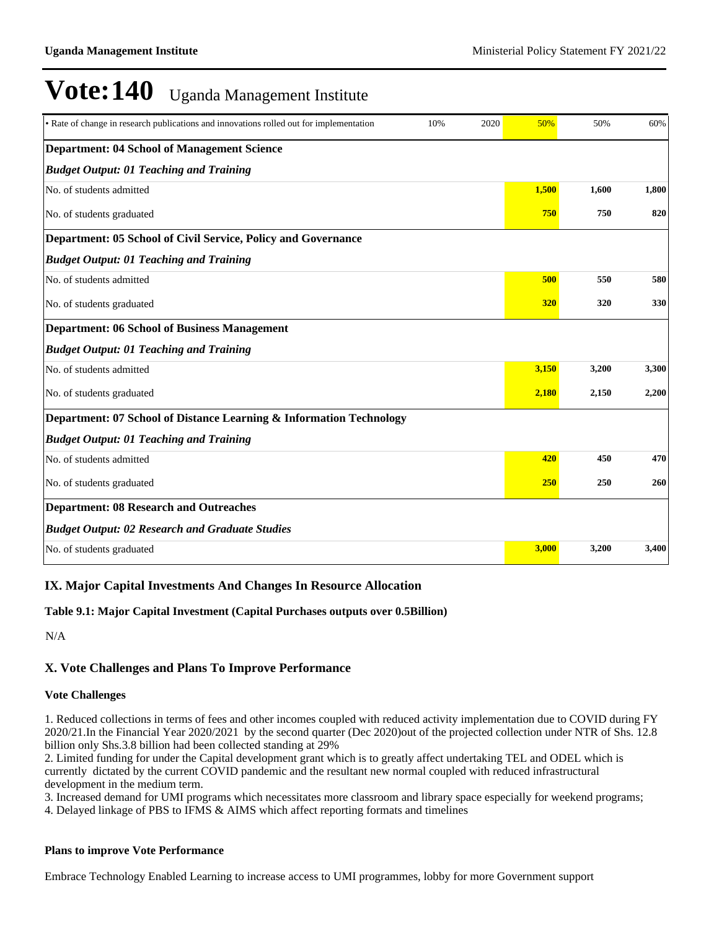| • Rate of change in research publications and innovations rolled out for implementation<br>10%<br>2020 | 50%   | 50%   | 60%   |
|--------------------------------------------------------------------------------------------------------|-------|-------|-------|
| <b>Department: 04 School of Management Science</b>                                                     |       |       |       |
| <b>Budget Output: 01 Teaching and Training</b>                                                         |       |       |       |
| No. of students admitted                                                                               | 1.500 | 1.600 | 1,800 |
| No. of students graduated                                                                              | 750   | 750   | 820   |
| Department: 05 School of Civil Service, Policy and Governance                                          |       |       |       |
| <b>Budget Output: 01 Teaching and Training</b>                                                         |       |       |       |
| No. of students admitted                                                                               | 500   | 550   | 580   |
| No. of students graduated                                                                              | 320   | 320   | 330   |
| <b>Department: 06 School of Business Management</b>                                                    |       |       |       |
| <b>Budget Output: 01 Teaching and Training</b>                                                         |       |       |       |
| No. of students admitted                                                                               | 3,150 | 3,200 | 3,300 |
| No. of students graduated                                                                              | 2,180 | 2,150 | 2,200 |
| Department: 07 School of Distance Learning & Information Technology                                    |       |       |       |
| <b>Budget Output: 01 Teaching and Training</b>                                                         |       |       |       |
| No. of students admitted                                                                               | 420   | 450   | 470   |
| No. of students graduated                                                                              | 250   | 250   | 260   |
| <b>Department: 08 Research and Outreaches</b>                                                          |       |       |       |
| <b>Budget Output: 02 Research and Graduate Studies</b>                                                 |       |       |       |
| No. of students graduated                                                                              | 3,000 | 3,200 | 3,400 |

### **IX. Major Capital Investments And Changes In Resource Allocation**

**Table 9.1: Major Capital Investment (Capital Purchases outputs over 0.5Billion)**

N/A

### **X. Vote Challenges and Plans To Improve Performance**

#### **Vote Challenges**

1. Reduced collections in terms of fees and other incomes coupled with reduced activity implementation due to COVID during FY 2020/21.In the Financial Year 2020/2021 by the second quarter (Dec 2020)out of the projected collection under NTR of Shs. 12.8 billion only Shs.3.8 billion had been collected standing at 29%

2. Limited funding for under the Capital development grant which is to greatly affect undertaking TEL and ODEL which is currently dictated by the current COVID pandemic and the resultant new normal coupled with reduced infrastructural development in the medium term.

3. Increased demand for UMI programs which necessitates more classroom and library space especially for weekend programs;

4. Delayed linkage of PBS to IFMS & AIMS which affect reporting formats and timelines

### **Plans to improve Vote Performance**

Embrace Technology Enabled Learning to increase access to UMI programmes, lobby for more Government support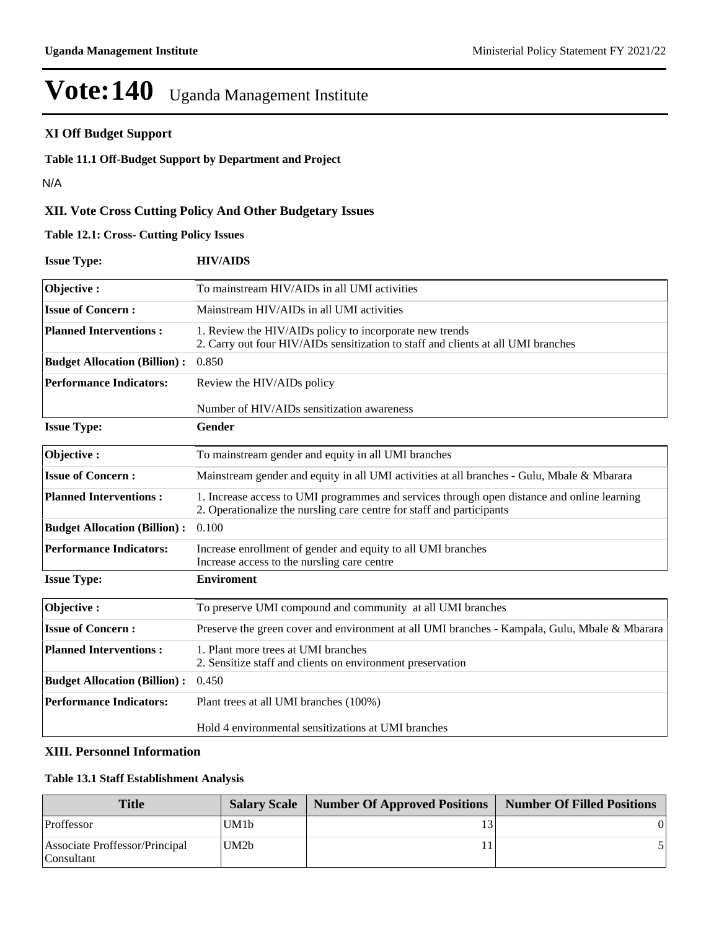### **XI Off Budget Support**

**Table 11.1 Off-Budget Support by Department and Project**

N/A

### **XII. Vote Cross Cutting Policy And Other Budgetary Issues**

**Table 12.1: Cross- Cutting Policy Issues**

| <b>Issue Type:</b>                  | <b>HIV/AIDS</b>                                                                                                                                                      |
|-------------------------------------|----------------------------------------------------------------------------------------------------------------------------------------------------------------------|
| Objective:                          | To mainstream HIV/AIDs in all UMI activities                                                                                                                         |
| <b>Issue of Concern:</b>            | Mainstream HIV/AIDs in all UMI activities                                                                                                                            |
| <b>Planned Interventions:</b>       | 1. Review the HIV/AIDs policy to incorporate new trends<br>2. Carry out four HIV/AIDs sensitization to staff and clients at all UMI branches                         |
| <b>Budget Allocation (Billion):</b> | 0.850                                                                                                                                                                |
| <b>Performance Indicators:</b>      | Review the HIV/AIDs policy                                                                                                                                           |
|                                     | Number of HIV/AIDs sensitization awareness                                                                                                                           |
| <b>Issue Type:</b>                  | Gender                                                                                                                                                               |
| Objective:                          | To mainstream gender and equity in all UMI branches                                                                                                                  |
| <b>Issue of Concern:</b>            | Mainstream gender and equity in all UMI activities at all branches - Gulu, Mbale & Mbarara                                                                           |
| <b>Planned Interventions:</b>       | 1. Increase access to UMI programmes and services through open distance and online learning<br>2. Operationalize the nursling care centre for staff and participants |
| <b>Budget Allocation (Billion):</b> | 0.100                                                                                                                                                                |
| <b>Performance Indicators:</b>      | Increase enrollment of gender and equity to all UMI branches<br>Increase access to the nursling care centre                                                          |
| <b>Issue Type:</b>                  | <b>Enviroment</b>                                                                                                                                                    |
| Objective:                          | To preserve UMI compound and community at all UMI branches                                                                                                           |
| <b>Issue of Concern:</b>            | Preserve the green cover and environment at all UMI branches - Kampala, Gulu, Mbale & Mbarara                                                                        |
| <b>Planned Interventions:</b>       | 1. Plant more trees at UMI branches<br>2. Sensitize staff and clients on environment preservation                                                                    |
| <b>Budget Allocation (Billion):</b> | 0.450                                                                                                                                                                |
| <b>Performance Indicators:</b>      | Plant trees at all UMI branches (100%)                                                                                                                               |
|                                     | Hold 4 environmental sensitizations at UMI branches                                                                                                                  |

### **XIII. Personnel Information**

#### **Table 13.1 Staff Establishment Analysis**

| Title                                        |      | <b>Salary Scale   Number Of Approved Positions  </b> | <b>Number Of Filled Positions</b> |
|----------------------------------------------|------|------------------------------------------------------|-----------------------------------|
| Proffessor                                   | UM1b |                                                      |                                   |
| Associate Proffessor/Principal<br>Consultant | UM2b |                                                      |                                   |